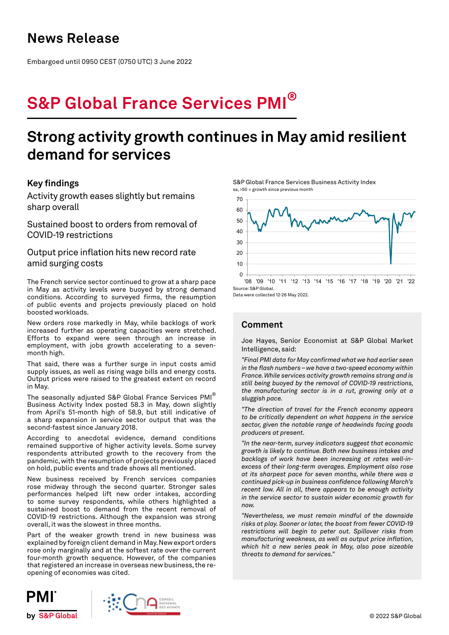## **News Release**

Embargoed until 0950 CEST (0750 UTC) 3 June 2022

# **S&P Global France Services PMI®**

## **Strong activity growth continues in May amid resilient demand for services**

### **Key findings**

Activity growth eases slightly but remains sharp overall

Sustained boost to orders from removal of COVID-19 restrictions

Output price inflation hits new record rate amid surging costs

The French service sector continued to grow at a sharp pace in May as activity levels were buoyed by strong demand conditions. According to surveyed firms, the resumption of public events and projects previously placed on hold boosted workloads.

New orders rose markedly in May, while backlogs of work increased further as operating capacities were stretched. Efforts to expand were seen through an increase in employment, with jobs growth accelerating to a sevenmonth high.

That said, there was a further surge in input costs amid supply issues, as well as rising wage bills and energy costs. Output prices were raised to the greatest extent on record in May.

The seasonally adjusted S&P Global France Services PMI® Business Activity Index posted 58.3 in May, down slightly from April's 51-month high of 58.9, but still indicative of a sharp expansion in service sector output that was the second-fastest since January 2018.

According to anecdotal evidence, demand conditions remained supportive of higher activity levels. Some survey respondents attributed growth to the recovery from the pandemic, with the resumption of projects previously placed on hold, public events and trade shows all mentioned.

New business received by French services companies rose midway through the second quarter. Stronger sales performances helped lift new order intakes, according to some survey respondents, while others highlighted a sustained boost to demand from the recent removal of COVID-19 restrictions. Although the expansion was strong overall, it was the slowest in three months.

Part of the weaker growth trend in new business was explained by foreign client demand in May. New export orders rose only marginally and at the softest rate over the current four-month growth sequence. However, of the companies that registered an increase in overseas new business, the reopening of economies was cited.

S&P Global France Services Business Activity Index sa, >50 = growth since previous month



Data were collected 12-26 May 2022.

### **Comment**

Joe Hayes, Senior Economist at S&P Global Market Intelligence, said:

*"Final PMI data for May confirmed what we had earlier seen in the flash numbers – we have a two-speed economy within France. While services activity growth remains strong and is still being buoyed by the removal of COVID-19 restrictions, the manufacturing sector is in a rut, growing only at a sluggish pace.*

*"The direction of travel for the French economy appears to be critically dependent on what happens in the service sector, given the notable range of headwinds facing goods producers at present.* 

*"In the near-term, survey indicators suggest that economic growth is likely to continue. Both new business intakes and backlogs of work have been increasing at rates well-inexcess of their long-term averages. Employment also rose at its sharpest pace for seven months, while there was a continued pick-up in business confidence following March's recent low. All in all, there appears to be enough activity in the service sector to sustain wider economic growth for now.* 

*"Nevertheless, we must remain mindful of the downside risks at play. Sooner or later, the boost from fewer COVID-19 restrictions will begin to peter out. Spillover risks from manufacturing weakness, as well as output price inflation, which hit a new series peak in May, also pose sizeable threats to demand for services."*



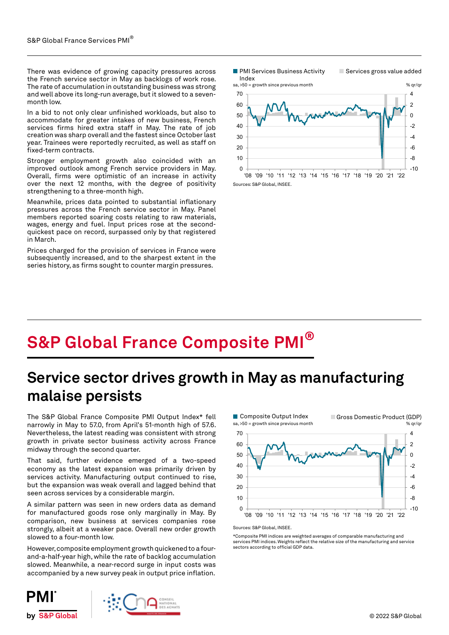There was evidence of growing capacity pressures across the French service sector in May as backlogs of work rose. The rate of accumulation in outstanding business was strong and well above its long-run average, but it slowed to a sevenmonth low.

In a bid to not only clear unfinished workloads, but also to accommodate for greater intakes of new business, French services firms hired extra staff in May. The rate of job creation was sharp overall and the fastest since October last year. Trainees were reportedly recruited, as well as staff on fixed-term contracts.

Stronger employment growth also coincided with an improved outlook among French service providers in May. Overall, firms were optimistic of an increase in activity over the next 12 months, with the degree of positivity strengthening to a three-month high.

Meanwhile, prices data pointed to substantial inflationary pressures across the French service sector in May. Panel members reported soaring costs relating to raw materials, wages, energy and fuel. Input prices rose at the secondquickest pace on record, surpassed only by that registered in March.

Prices charged for the provision of services in France were subsequently increased, and to the sharpest extent in the series history, as firms sought to counter margin pressures.

**PMI Services Business Activity** Index

Services gross value added



**S&P Global France Composite PMI®**

## **Service sector drives growth in May as manufacturing malaise persists**

The S&P Global France Composite PMI Output Index\* fell narrowly in May to 57.0, from April's 51-month high of 57.6. Nevertheless, the latest reading was consistent with strong growth in private sector business activity across France midway through the second quarter.

That said, further evidence emerged of a two-speed economy as the latest expansion was primarily driven by services activity. Manufacturing output continued to rise, but the expansion was weak overall and lagged behind that seen across services by a considerable margin.

A similar pattern was seen in new orders data as demand for manufactured goods rose only marginally in May. By comparison, new business at services companies rose strongly, albeit at a weaker pace. Overall new order growth slowed to a four-month low.

However, composite employment growth quickened to a fourand-a-half-year high, while the rate of backlog accumulation slowed. Meanwhile, a near-record surge in input costs was accompanied by a new survey peak in output price inflation.



\*Composite PMI indices are weighted averages of comparable manufacturing and services PMI indices. Weights reflect the relative size of the manufacturing and service sectors according to official GDP data.